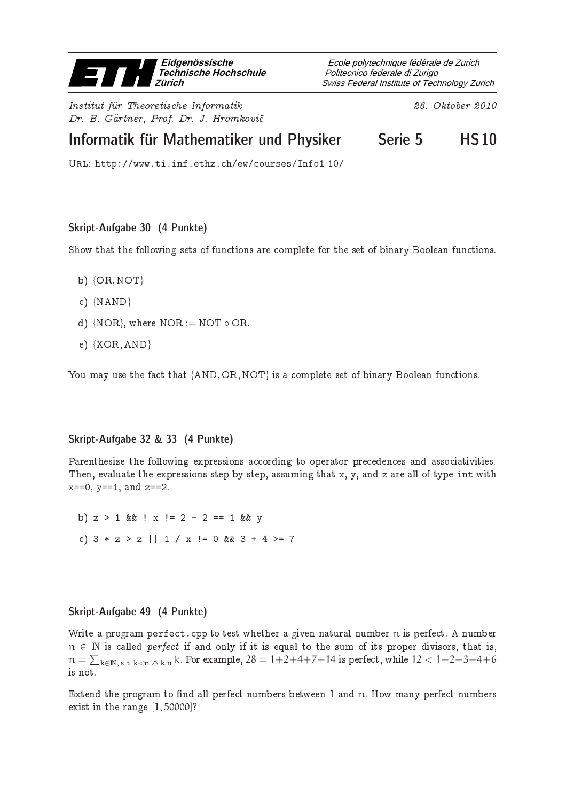

Institut fur Theoretis
he Informatik 26. Oktober <sup>2010</sup> Dr. B. Gartner, Prof. Dr. J. Hromkovi

Swiss Federal Institute of Technology Zurich Politecnico federale di Zurigo Ecole polytechnique fédérale de Zurich

# Informatik für Mathematiker und Physiker Serie 5 HS10

Url: http://www.ti.inf.ethz.ch/ew/courses/Info1 10/

## Skript-Aufgabe 30 (4 Punkte)

Show that the following sets of functions are complete for the set of binary Boolean functions.

- b)  ${OR, NOT}$
- ) {NAND}
- d) {NOR}, where NOR := NOT  $\circ$  OR.
- e) {XOR, AND}

You may use the fact that {AND, OR, NOT} is a complete set of binary Boolean functions.

## Skript-Aufgabe 32 & 33 (4 Punkte)

Parenthesize the following expressions according to operator precedences and associativities. Then, evaluate the expressions step-by-step, assuming that x, y, and z are all of type int with  $x == 0$ ,  $y == 1$ , and  $z == 2$ .

b)  $z > 1$  & k !  $x$  ! = 2 - 2 = = 1 & k y c)  $3 * z > z$  ||  $1 / x$  != 0 &&  $3 + 4 > = 7$ 

#### Skript-Aufgabe 49 (4 Punkte)

Write a program perfect.cpp to test whether a given natural number n is perfect. A number  $n \in \mathbb{N}$  is called *perfect* if and only if it is equal to the sum of its proper divisors, that is,  $\mathfrak{n}=\sum_{\mathsf{k}\in \mathbb{N},\,\text{s.t.}\,\mathsf{k}<\mathfrak{n}\,\wedge\,\mathsf{k}|\mathfrak{n}}\text{ k.}$  For example,  $28=1+2+4+7+14$  is perfect, while  $12< 1+2+3+4+6$ is not.

Extend the program to find all perfect numbers between 1 and n. How many perfect numbers exist in the range [1,50000]?